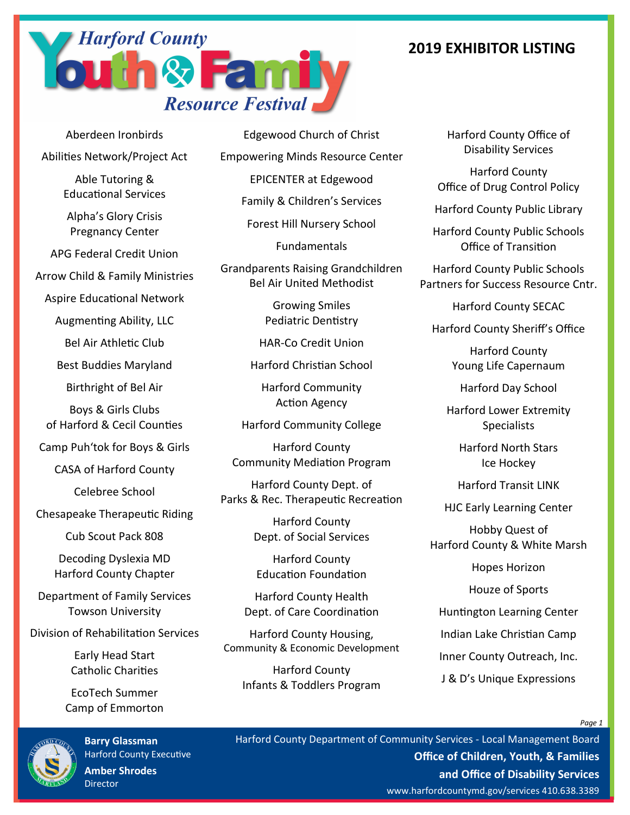## **2019 EXHIBITOR LISTING**



Aberdeen Ironbirds Abilities Network/Project Act

> Able Tutoring & Educational Services

Alpha's Glory Crisis Pregnancy Center

APG Federal Credit Union

Arrow Child & Family Ministries

Aspire Educational Network

Augmenting Ability, LLC

Bel Air Athletic Club

Best Buddies Maryland

Birthright of Bel Air

Boys & Girls Clubs of Harford & Cecil Counties

Camp Puh'tok for Boys & Girls

CASA of Harford County

Celebree School

Chesapeake Therapeutic Riding

Cub Scout Pack 808

Decoding Dyslexia MD Harford County Chapter

Department of Family Services Towson University

Division of Rehabilitation Services

Early Head Start Catholic Charities

EcoTech Summer Camp of Emmorton



**Barry Glassman** Harford County Executive **Amber Shrodes** Director

Edgewood Church of Christ Empowering Minds Resource Center EPICENTER at Edgewood Family & Children's Services Forest Hill Nursery School Fundamentals

Grandparents Raising Grandchildren Bel Air United Methodist

> Growing Smiles Pediatric Dentistry

HAR-Co Credit Union

Harford Christian School

Harford Community Action Agency

Harford Community College

Harford County Community Mediation Program

Harford County Dept. of Parks & Rec. Therapeutic Recreation

> Harford County Dept. of Social Services

Harford County Education Foundation

Harford County Health Dept. of Care Coordination

Harford County Housing, Community & Economic Development

Harford County Infants & Toddlers Program Harford County Office of Disability Services

Harford County Office of Drug Control Policy

Harford County Public Library

Harford County Public Schools Office of Transition

Harford County Public Schools Partners for Success Resource Cntr.

Harford County SECAC

Harford County Sheriff's Office

Harford County Young Life Capernaum

Harford Day School

Harford Lower Extremity **Specialists** 

Harford North Stars Ice Hockey

Harford Transit LINK

HJC Early Learning Center

Hobby Quest of Harford County & White Marsh

Hopes Horizon

Houze of Sports

Huntington Learning Center

Indian Lake Christian Camp

Inner County Outreach, Inc.

J & D's Unique Expressions

*Page 1*

Harford County Department of Community Services - Local Management Board **Office of Children, Youth, & Families and Office of Disability Services** www.harfordcountymd.gov/services 410.638.3389